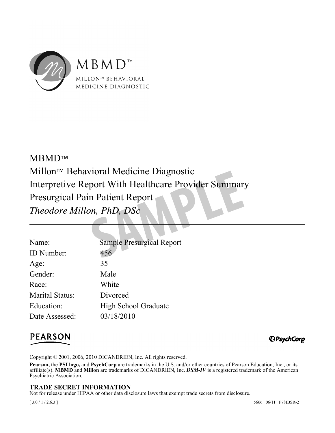

# France Brand<br>
Sample Presurgical Report<br>
Sample Presurgical Report<br>
156 MBMD™ Millon™ Behavioral Medicine Diagnostic Interpretive Report With Healthcare Provider Summary Presurgical Pain Patient Report *Theodore Millon, PhD, DSc*

| Name:                  | <b>Sample Presurgical Report</b> |
|------------------------|----------------------------------|
| ID Number:             | 456                              |
| Age:                   | 35                               |
| Gender:                | Male                             |
| Race:                  | White                            |
| <b>Marital Status:</b> | Divorced                         |
| Education:             | <b>High School Graduate</b>      |
| Date Assessed:         | 03/18/2010                       |
|                        |                                  |

# **PEARSON**

*@PsychCorp* 

Copyright © 2001, 2006, 2010 DICANDRIEN, Inc. All rights reserved.

**Pearson,** the **PSI logo,** and **PsychCorp** are trademarks in the U.S. and/or other countries of Pearson Education, Inc., or its affiliate(s). **MBMD** and **Millon** are trademarks of DICANDRIEN, Inc. *DSM-IV* is a registered trademark of the American Psychiatric Association.

## **TRADE SECRET INFORMATION**

Not for release under HIPAA or other data disclosure laws that exempt trade secrets from disclosure.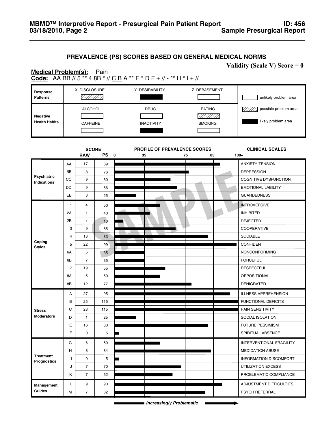## **PREVALENCE (PS) SCORES BASED ON GENERAL MEDICAL NORMS**

**Validity (Scale V) Score = 0**

#### **Code:** AA BB // 5 \*\* 4 8B \* // C B A \*\* E \* D F + // - \*\* H \* I + // **Medical Problem(s):** Pain

| Response<br><b>Patterns</b> | X. DISCLOSURE   | Y. DESIRABILITY   | Z. DEBASEMENT  | unlikely problem area |
|-----------------------------|-----------------|-------------------|----------------|-----------------------|
| <b>Negative</b>             | <b>ALCOHOL</b>  | <b>DRUG</b>       | <b>EATING</b>  | possible problem area |
| <b>Health Habits</b>        | <b>CAFFEINE</b> | <b>INACTIVITY</b> | <b>SMOKING</b> | likely problem area   |

|                                          |                | <b>SCORE</b>   |           | PROFILE OF PREVALENCE SCORES  | <b>CLINICAL SCALES</b>          |
|------------------------------------------|----------------|----------------|-----------|-------------------------------|---------------------------------|
|                                          |                | <b>RAW</b>     | <b>PS</b> | $\mathbf 0$<br>35<br>75<br>85 | $100+$                          |
|                                          | AA             | 17             | 89        |                               | ANXIETY-TENSION                 |
|                                          | <b>BB</b>      | 8              | 76        |                               | <b>DEPRESSION</b>               |
| <b>Psychiatric</b><br><b>Indications</b> | <b>CC</b>      | 9              | 60        |                               | <b>COGNITIVE DYSFUNCTION</b>    |
|                                          | DD             | 9              | 66        |                               | <b>EMOTIONAL LABILITY</b>       |
|                                          | EE             | 3              | 25        |                               | <b>GUARDEDNESS</b>              |
|                                          | $\mathbf{1}$   | $\overline{4}$ | 50        |                               | <b>INTROVERSIVE</b>             |
|                                          | 2A             | $\mathbf{1}$   | 40        |                               | <b>INHIBITED</b>                |
|                                          | 2B             | $\mathbf{1}$   | 10        |                               | <b>DEJECTED</b>                 |
|                                          | 3              | 9              | 65        |                               | <b>COOPERATIVE</b>              |
|                                          | 4              | 18             | 83        |                               | <b>SOCIABLE</b>                 |
| Coping<br><b>Styles</b>                  | 5              | 22             | 99        |                               | <b>CONFIDENT</b>                |
|                                          | 6A             | 5              | 35        |                               | <b>NONCONFORMING</b>            |
|                                          | 6B             | $\overline{7}$ | 35        |                               | <b>FORCEFUL</b>                 |
|                                          | $\overline{7}$ | 19             | 55        |                               | <b>RESPECTFUL</b>               |
|                                          | 8A             | 5              | 50        |                               | OPPOSITIONAL                    |
|                                          | 8B             | 12             | 77        |                               | <b>DENIGRATED</b>               |
|                                          | A              | 27             | 95        |                               | <b>ILLNESS APPREHENSION</b>     |
|                                          | B              | 25             | 115       |                               | <b>FUNCTIONAL DEFICITS</b>      |
| <b>Stress</b>                            | C              | 28             | 115       |                               | PAIN SENSITIVITY                |
| <b>Moderators</b>                        | D              | $\mathbf{1}$   | 25        |                               | SOCIAL ISOLATION                |
|                                          | Ε              | 16             | 83        |                               | <b>FUTURE PESSIMISM</b>         |
|                                          | F              | 0              | 5         |                               | SPIRITUAL ABSENCE               |
|                                          | G              | 6              | 50        |                               | <b>INTERVENTIONAL FRAGILITY</b> |
| <b>Treatment</b><br>Prognostics          | н              | 8              | 84        |                               | <b>MEDICATION ABUSE</b>         |
|                                          | ı              | 0              | 5         |                               | <b>INFORMATION DISCOMFORT</b>   |
|                                          | J              | $\overline{7}$ | 70        |                               | <b>UTILIZATION EXCESS</b>       |
|                                          | Κ              | $\overline{7}$ | 62        |                               | PROBLEMATIC COMPLIANCE          |
| Management                               | Г              | 9              | 90        |                               | ADJUSTMENT DIFFICULTIES         |
| Guides                                   | M              | $\overline{7}$ | 82        |                               | PSYCH REFERRAL                  |

*Increasingly Problematic*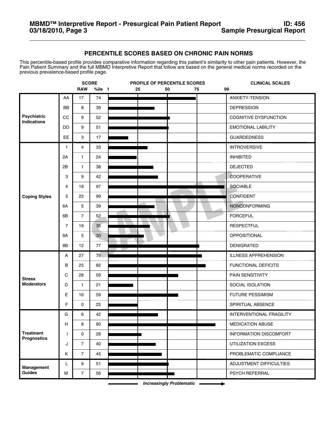## **PERCENTILE SCORES BASED ON CHRONIC PAIN NORMS**

This percentile-based profile provides comparative information regarding this patient's similarity to other pain patients. However, the Pain Patient Summary and the full MBMD Interpretive Report that follow are based on the general medical norms recorded on the previous prevalence-based profile page.

|                                        | <b>SCORE</b><br>PROFILE OF PERCENTILE SCORES |                |        | <b>CLINICAL SCALES</b> |    |          |                                 |
|----------------------------------------|----------------------------------------------|----------------|--------|------------------------|----|----------|---------------------------------|
|                                        |                                              | <b>RAW</b>     | %ile 1 | 25                     | 50 | 75<br>99 |                                 |
|                                        | AA                                           | 17             | 74     |                        |    |          | ANXIETY-TENSION                 |
|                                        | <b>BB</b>                                    | 8              | 39     |                        |    |          | <b>DEPRESSION</b>               |
| Psychiatric<br>Indications             | CC                                           | 9              | 52     |                        |    |          | COGNITIVE DYSFUNCTION           |
|                                        | DD                                           | 9              | 51     |                        |    |          | <b>EMOTIONAL LABILITY</b>       |
|                                        | <b>EE</b>                                    | 3              | 17     |                        |    |          | <b>GUARDEDNESS</b>              |
|                                        | 1                                            | 4              | 33     |                        |    |          | <b>INTROVERSIVE</b>             |
|                                        | 2A                                           | $\mathbf{1}$   | 24     |                        |    |          | <b>INHIBITED</b>                |
|                                        | 2B                                           | $\mathbf{1}$   | 38     |                        |    |          | <b>DEJECTED</b>                 |
|                                        | 3                                            | 9              | 42     |                        |    |          | <b>COOPERATIVE</b>              |
|                                        | 4                                            | 18             | 97     |                        |    |          | <b>SOCIABLE</b>                 |
| <b>Coping Styles</b>                   | 5                                            | 22             | 99     |                        |    |          | <b>CONFIDENT</b>                |
|                                        | 6A                                           | 5              | 39     |                        |    |          | <b>NONCONFORMING</b>            |
|                                        | 6B                                           | $\overline{7}$ | 52     |                        |    |          | <b>FORCEFUL</b>                 |
|                                        | $\overline{7}$                               | 19             | 35     |                        |    |          | <b>RESPECTFUL</b>               |
|                                        | <b>8A</b>                                    | 5              | 30     |                        |    |          | OPPOSITIONAL                    |
|                                        | 8B                                           | 12             | 77     |                        |    |          | <b>DENIGRATED</b>               |
|                                        | А                                            | 27             | 79     |                        |    |          | <b>ILLNESS APPREHENSION</b>     |
|                                        | в                                            | 25             | 82     |                        |    |          | FUNCTIONAL DEFICITS             |
| <b>Stress</b>                          | C                                            | 28             | 59     |                        |    |          | PAIN SENSITIVITY                |
| <b>Moderators</b>                      | D                                            | $\mathbf{1}$   | 21     |                        |    |          | SOCIAL ISOLATION                |
|                                        | Е                                            | 16             | 59     |                        |    |          | <b>FUTURE PESSIMISM</b>         |
|                                        | F                                            | 0              | 25     |                        |    |          | SPIRITUAL ABSENCE               |
|                                        | G                                            | 6              | 42     |                        |    |          | <b>INTERVENTIONAL FRAGILITY</b> |
|                                        | Н                                            | 8              | 90     |                        |    |          | <b>MEDICATION ABUSE</b>         |
| <b>Treatment</b><br><b>Prognostics</b> | T                                            | 0              | 28     |                        |    |          | INFORMATION DISCOMFORT          |
|                                        | J                                            | $\overline{7}$ | 40     |                        |    |          | UTILIZATION EXCESS              |
|                                        | Κ                                            | $\overline{7}$ | 45     |                        |    |          | PROBLEMATIC COMPLIANCE          |
| Management                             | L.                                           | 9              | 51     |                        |    |          | ADJUSTMENT DIFFICULTIES         |
| Guides                                 | M                                            | $\overline{7}$ | 56     |                        |    |          | PSYCH REFERRAL                  |

*Increasingly Problematic*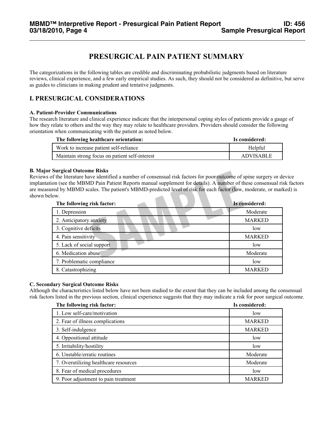# **PRESURGICAL PAIN PATIENT SUMMARY**

The categorizations in the following tables are credible and discriminating probabilistic judgments based on literature reviews, clinical experience, and a few early empirical studies. As such, they should not be considered as definitive, but serve as guides to clinicians in making prudent and tentative judgments.

# **I. PRESURGICAL CONSIDERATIONS**

#### **A. Patient-Provider Communications**

The research literature and clinical experience indicate that the interpersonal coping styles of patients provide a gauge of how they relate to others and the way they may relate to healthcare providers. Providers should consider the following orientation when communicating with the patient as noted below.

| The following healthcare orientation:          | Is considered:   |
|------------------------------------------------|------------------|
| Work to increase patient self-reliance         | Helpful          |
| Maintain strong focus on patient self-interest | <b>ADVISABLE</b> |

#### **B. Major Surgical Outcome Risks**

Reviews of the literature have identified a number of consensual risk factors for poor outcome of spine surgery or device implantation (see the MBMD Pain Patient Reports manual supplement for details). A number of these consensual risk factors are measured by MBMD scales. The patient's MBMD-predicted level of risk for each factor (low, moderate, or marked) is shown below.

| The following risk factor: | Is considered: |
|----------------------------|----------------|
| 1. Depression              | Moderate       |
| 2. Anticipatory anxiety    | <b>MARKED</b>  |
| 3. Cognitive deficits      | low            |
| 4. Pain sensitivity        | <b>MARKED</b>  |
| 5. Lack of social support  | low            |
| 6. Medication abuse        | Moderate       |
| 7. Problematic compliance  | low            |
| 8. Catastrophizing         | <b>MARKED</b>  |

#### **C. Secondary Surgical Outcome Risks**

Although the characteristics listed below have not been studied to the extent that they can be included among the consensual risk factors listed in the previous section, clinical experience suggests that they may indicate a risk for poor surgical outcome.

| The following risk factor:            | Is considered: |
|---------------------------------------|----------------|
| 1. Low self-care/motivation           | low            |
| 2. Fear of illness complications      | <b>MARKED</b>  |
| 3. Self-indulgence                    | <b>MARKED</b>  |
| 4. Oppositional attitude              | low            |
| 5. Irritability/hostility             | low            |
| 6. Unstable/erratic routines          | Moderate       |
| 7. Overutilizing healthcare resources | Moderate       |
| 8. Fear of medical procedures         | low            |
| 9. Poor adjustment to pain treatment  | <b>MARKED</b>  |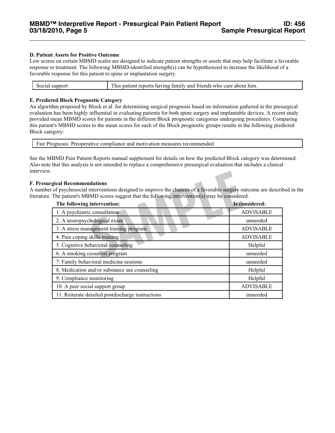#### **D. Patient Assets for Positive Outcome**

Low scores on certain MBMD scales are designed to indicate patient strengths or assets that may help facilitate a favorable response to treatment. The following MBMD-identified strength(s) can be hypothesized to increase the likelihood of a favorable response for this patient to spine or implantation surgery.

| Social support | This patient reports having family and friends who care about him. |
|----------------|--------------------------------------------------------------------|
|                |                                                                    |

#### **E. Predicted Block Prognostic Category**

An algorithm proposed by Block et al. for determining surgical prognosis based on information gathered in the presurgical evaluation has been highly influential in evaluating patients for both spine surgery and implantable devices. A recent study provided mean MBMD scores for patients in the different Block prognostic categories undergoing procedures. Comparing this patient's MBMD scores to the mean scores for each of the Block prognostic groups results in the following predicted Block category:

| Fair Prognosis: Preoperative compliance and motivation measures recommended |  |  |
|-----------------------------------------------------------------------------|--|--|
|                                                                             |  |  |

See the MBMD Pain Patient Reports manual supplement for details on how the predicted Block category was determined. Also note that this analysis is not intended to replace a comprehensive presurgical evaluation that includes a clinical interview.

#### **F. Presurgical Recommendations**

A number of psychosocial interventions designed to improve the chances of a favorable surgery outcome are described in the literature. The patient's MBMD scores suggest that the following intervention(s) may be considered.

| rgical Recommendations<br>r of psychosocial interventions designed to improve the chances of a favorable surgery outcome are described to<br>The patient's MBMD scores suggest that the following intervention(s) may be considered. |                  |
|--------------------------------------------------------------------------------------------------------------------------------------------------------------------------------------------------------------------------------------|------------------|
| The following intervention:                                                                                                                                                                                                          | Is considered:   |
| 1. A psychiatric consultation                                                                                                                                                                                                        | <b>ADVISABLE</b> |
| 2. A neuropsychological exam                                                                                                                                                                                                         | unneeded         |
| 3. A stress management training program                                                                                                                                                                                              | <b>ADVISABLE</b> |
| 4. Pain coping skills training                                                                                                                                                                                                       | <b>ADVISABLE</b> |
| 5. Cognitive behavioral counseling                                                                                                                                                                                                   | Helpful          |
| 6. A smoking cessation program                                                                                                                                                                                                       | unneeded         |
| 7. Family behavioral medicine sessions                                                                                                                                                                                               | unneeded         |
| 8. Medication and/or substance use counseling                                                                                                                                                                                        | Helpful          |
| 9. Compliance monitoring                                                                                                                                                                                                             | Helpful          |
| 10. A peer social support group                                                                                                                                                                                                      | <b>ADVISABLE</b> |
| 11. Reiterate detailed postdischarge instructions                                                                                                                                                                                    | unneeded         |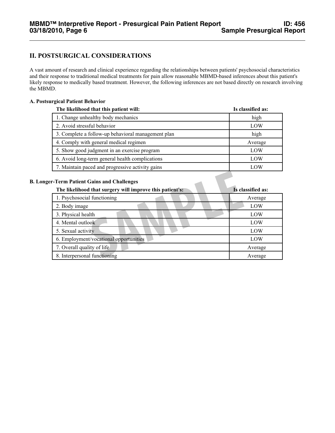# **II. POSTSURGICAL CONSIDERATIONS**

A vast amount of research and clinical experience regarding the relationships between patients' psychosocial characteristics and their response to traditional medical treatments for pain allow reasonable MBMD-based inferences about this patient's likely response to medically based treatment. However, the following inferences are not based directly on research involving the MBMD.

#### **A. Postsurgical Patient Behavior**

| The likelihood that this patient will:             | Is classified as: |
|----------------------------------------------------|-------------------|
| 1. Change unhealthy body mechanics                 | high              |
| 2. Avoid stressful behavior                        | LOW               |
| 3. Complete a follow-up behavioral management plan | high              |
| 4. Comply with general medical regimen             | Average           |
| 5. Show good judgment in an exercise program       | LOW               |
| 6. Avoid long-term general health complications    | LOW               |
| 7. Maintain paced and progressive activity gains   | LOW               |

#### **B. Longer-Term Patient Gains and Challenges**

| r-Term Patient Gains and Challenges<br>The likelihood that surgery will improve this patient's: | Is classified as: |
|-------------------------------------------------------------------------------------------------|-------------------|
| 1. Psychosocial functioning                                                                     | Average           |
| 2. Body image                                                                                   | LOW               |
| 3. Physical health                                                                              | LOW               |
| 4. Mental outlook                                                                               | LOW               |
| 5. Sexual activity                                                                              | LOW               |
| 6. Employment/vocational opportunities                                                          | LOW               |
| 7. Overall quality of life                                                                      | Average           |
| 8. Interpersonal functioning                                                                    | Average           |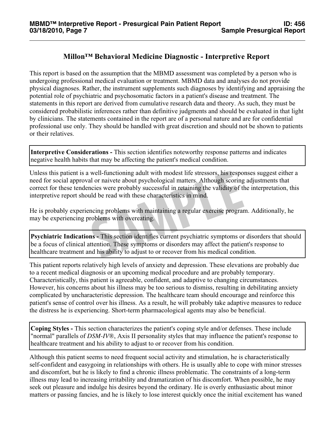# **Millon™ Behavioral Medicine Diagnostic - Interpretive Report**

This report is based on the assumption that the MBMD assessment was completed by a person who is undergoing professional medical evaluation or treatment. MBMD data and analyses do not provide physical diagnoses. Rather, the instrument supplements such diagnoses by identifying and appraising the potential role of psychiatric and psychosomatic factors in a patient's disease and treatment. The statements in this report are derived from cumulative research data and theory. As such, they must be considered probabilistic inferences rather than definitive judgments and should be evaluated in that light by clinicians. The statements contained in the report are of a personal nature and are for confidential professional use only. They should be handled with great discretion and should not be shown to patients or their relatives.

**Interpretive Considerations -** This section identifies noteworthy response patterns and indicates negative health habits that may be affecting the patient's medical condition.

well-functioning adult with modest life stressors, his respoted or naivete about psychological matters. Although scoring meies were probably successful in retaining the validity of the uld be read with these characteristic Unless this patient is a well-functioning adult with modest life stressors, his responses suggest either a need for social approval or naivete about psychological matters. Although scoring adjustments that correct for these tendencies were probably successful in retaining the validity of the interpretation, this interpretive report should be read with these characteristics in mind.

He is probably experiencing problems with maintaining a regular exercise program. Additionally, he may be experiencing problems with overeating.

**Psychiatric Indications -** This section identifies current psychiatric symptoms or disorders that should be a focus of clinical attention. These symptoms or disorders may affect the patient's response to healthcare treatment and his ability to adjust to or recover from his medical condition.

This patient reports relatively high levels of anxiety and depression. These elevations are probably due to a recent medical diagnosis or an upcoming medical procedure and are probably temporary. Characteristically, this patient is agreeable, confident, and adaptive to changing circumstances. However, his concerns about his illness may be too serious to dismiss, resulting in debilitating anxiety complicated by uncharacteristic depression. The healthcare team should encourage and reinforce this patient's sense of control over his illness. As a result, he will probably take adaptive measures to reduce the distress he is experiencing. Short-term pharmacological agents may also be beneficial.

**Coping Styles -** This section characterizes the patient's coping style and/or defenses. These include "normal" parallels of *DSM-IV*®, Axis II personality styles that may influence the patient's response to healthcare treatment and his ability to adjust to or recover from his condition.

Although this patient seems to need frequent social activity and stimulation, he is characteristically self-confident and easygoing in relationships with others. He is usually able to cope with minor stresses and discomfort, but he is likely to find a chronic illness problematic. The constraints of a long-term illness may lead to increasing irritability and dramatization of his discomfort. When possible, he may seek out pleasure and indulge his desires beyond the ordinary. He is overly enthusiastic about minor matters or passing fancies, and he is likely to lose interest quickly once the initial excitement has waned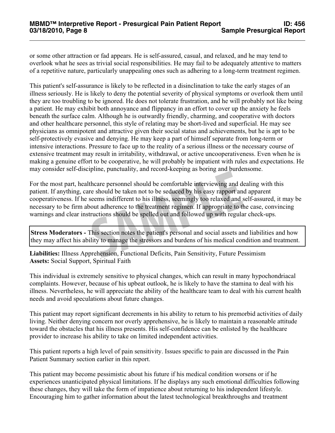or some other attraction or fad appears. He is self-assured, casual, and relaxed, and he may tend to overlook what he sees as trivial social responsibilities. He may fail to be adequately attentive to matters of a repetitive nature, particularly unappealing ones such as adhering to a long-term treatment regimen.

This patient's self-assurance is likely to be reflected in a disinclination to take the early stages of an illness seriously. He is likely to deny the potential severity of physical symptoms or overlook them until they are too troubling to be ignored. He does not tolerate frustration, and he will probably not like being a patient. He may exhibit both annoyance and flippancy in an effort to cover up the anxiety he feels beneath the surface calm. Although he is outwardly friendly, charming, and cooperative with doctors and other healthcare personnel, this style of relating may be short-lived and superficial. He may see physicians as omnipotent and attractive given their social status and achievements, but he is apt to be self-protectively evasive and denying. He may keep a part of himself separate from long-term or intensive interactions. Pressure to face up to the reality of a serious illness or the necessary course of extensive treatment may result in irritability, withdrawal, or active uncooperativeness. Even when he is making a genuine effort to be cooperative, he will probably be impatient with rules and expectations. He may consider self-discipline, punctuality, and record-keeping as boring and burdensome.

theare personnel should be comfortable interviewing and dates<br>theare personnel should be comfortable interviewing and dates<br>seems indifferent to his illness, seemingly too relaxed and s<br>bout adherence to the treatment regi For the most part, healthcare personnel should be comfortable interviewing and dealing with this patient. If anything, care should be taken not to be seduced by his easy rapport and apparent cooperativeness. If he seems indifferent to his illness, seemingly too relaxed and self-assured, it may be necessary to be firm about adherence to the treatment regimen. If appropriate to the case, convincing warnings and clear instructions should be spelled out and followed up with regular check-ups.

**Stress Moderators -** This section notes the patient's personal and social assets and liabilities and how they may affect his ability to manage the stressors and burdens of his medical condition and treatment.

**Liabilities:** Illness Apprehension, Functional Deficits, Pain Sensitivity, Future Pessimism **Assets:** Social Support, Spiritual Faith

This individual is extremely sensitive to physical changes, which can result in many hypochondriacal complaints. However, because of his upbeat outlook, he is likely to have the stamina to deal with his illness. Nevertheless, he will appreciate the ability of the healthcare team to deal with his current health needs and avoid speculations about future changes.

This patient may report significant decrements in his ability to return to his premorbid activities of daily living. Neither denying concern nor overly apprehensive, he is likely to maintain a reasonable attitude toward the obstacles that his illness presents. His self-confidence can be enlisted by the healthcare provider to increase his ability to take on limited independent activities.

This patient reports a high level of pain sensitivity. Issues specific to pain are discussed in the Pain Patient Summary section earlier in this report.

This patient may become pessimistic about his future if his medical condition worsens or if he experiences unanticipated physical limitations. If he displays any such emotional difficulties following these changes, they will take the form of impatience about returning to his independent lifestyle. Encouraging him to gather information about the latest technological breakthroughs and treatment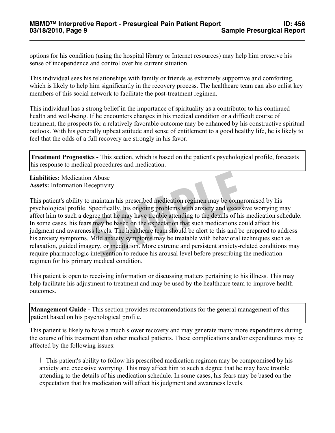options for his condition (using the hospital library or Internet resources) may help him preserve his sense of independence and control over his current situation.

This individual sees his relationships with family or friends as extremely supportive and comforting, which is likely to help him significantly in the recovery process. The healthcare team can also enlist key members of this social network to facilitate the post-treatment regimen.

This individual has a strong belief in the importance of spirituality as a contributor to his continued health and well-being. If he encounters changes in his medical condition or a difficult course of treatment, the prospects for a relatively favorable outcome may be enhanced by his constructive spiritual outlook. With his generally upbeat attitude and sense of entitlement to a good healthy life, he is likely to feel that the odds of a full recovery are strongly in his favor.

**Treatment Prognostics -** This section, which is based on the patient's psychological profile, forecasts his response to medical procedures and medication.

**Liabilities:** Medication Abuse **Assets:** Information Receptivity

In Abuse<br>
Specifically, his ongoing problems with anxiety and excess<br>
Specifically, his ongoing problems with anxiety and excess<br>
sgree that he may have trouble attending to the details of his<br>
Smay be based on the expecta This patient's ability to maintain his prescribed medication regimen may be compromised by his psychological profile. Specifically, his ongoing problems with anxiety and excessive worrying may affect him to such a degree that he may have trouble attending to the details of his medication schedule. In some cases, his fears may be based on the expectation that such medications could affect his judgment and awareness levels. The healthcare team should be alert to this and be prepared to address his anxiety symptoms. Mild anxiety symptoms may be treatable with behavioral techniques such as relaxation, guided imagery, or meditation. More extreme and persistent anxiety-related conditions may require pharmacologic intervention to reduce his arousal level before prescribing the medication regimen for his primary medical condition.

This patient is open to receiving information or discussing matters pertaining to his illness. This may help facilitate his adjustment to treatment and may be used by the healthcare team to improve health outcomes.

**Management Guide -** This section provides recommendations for the general management of this patient based on his psychological profile.

This patient is likely to have a much slower recovery and may generate many more expenditures during the course of his treatment than other medical patients. These complications and/or expenditures may be affected by the following issues:

l This patient's ability to follow his prescribed medication regimen may be compromised by his anxiety and excessive worrying. This may affect him to such a degree that he may have trouble attending to the details of his medication schedule. In some cases, his fears may be based on the expectation that his medication will affect his judgment and awareness levels.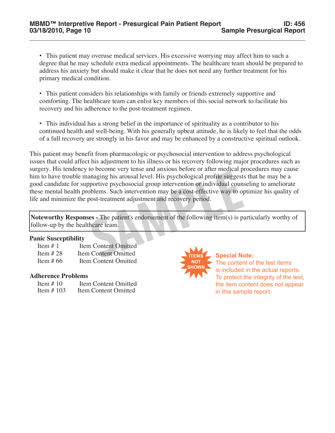• This patient may overuse medical services. His excessive worrying may affect him to such a degree that he may schedule extra medical appointments. The healthcare team should be prepared to address his anxiety but should make it clear that he does not need any further treatment for his primary medical condition.

- This patient considers his relationships with family or friends extremely supportive and comforting. The healthcare team can enlist key members of this social network to facilitate his recovery and his adherence to the post-treatment regimen.
- This individual has a strong belief in the importance of spirituality as a contributor to his continued health and well-being. With his generally upbeat attitude, he is likely to feel that the odds of a full recovery are strongly in his favor and may be enhanced by a constructive spiritual outlook.

Example 19 analysis and a line of the International period of the meaninging his arousal level. His psychological profile suggest:<br>pportive psychosocial group intervention or individual counseless.<br>Such intervention may be This patient may benefit from pharmacologic or psychosocial intervention to address psychological issues that could affect his adjustment to his illness or his recovery following major procedures such as surgery. His tendency to become very tense and anxious before or after medical procedures may cause him to have trouble managing his arousal level. His psychological profile suggests that he may be a good candidate for supportive psychosocial group intervention or individual counseling to ameliorate these mental health problems. Such intervention may be a cost-effective way to optimize his quality of life and minimize the post-treatment adjustment and recovery period.

**Noteworthy Responses -** The patient's endorsement of the following item(s) is particularly worthy of follow-up by the healthcare team.

#### **Panic Susceptibility**

| Item $#1$  | <b>Item Content Omitted</b> |
|------------|-----------------------------|
| Item $#28$ | <b>Item Content Omitted</b> |
| Item # 66  | Item Content Omitted        |

#### **Adherence Problems**

| Item $# 10$   | <b>Item Content Omitted</b> |
|---------------|-----------------------------|
| Item $\#$ 103 | Item Content Omitted        |



**Special Note:**  The content of the test items is included in the actual reports. To protect the integrity of the test, the item content does not appear in this sample report.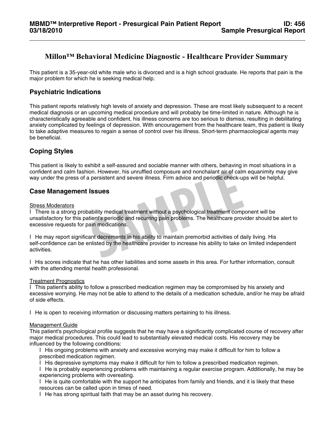# **Millon™ Behavioral Medicine Diagnostic - Healthcare Provider Summary**

This patient is a 35-year-old white male who is divorced and is a high school graduate. He reports that pain is the major problem for which he is seeking medical help.

# **Psychiatric Indications**

This patient reports relatively high levels of anxiety and depression. These are most likely subsequent to a recent medical diagnosis or an upcoming medical procedure and will probably be time-limited in nature. Although he is characteristically agreeable and confident, his illness concerns are too serious to dismiss, resulting in debilitating anxiety complicated by feelings of depression. With encouragement from the healthcare team, this patient is likely to take adaptive measures to regain a sense of control over his illness. Short-term pharmacological agents may be beneficial.

# **Coping Styles**

This patient is likely to exhibit a self-assured and sociable manner with others, behaving in most situations in a confident and calm fashion. However, his unruffled composure and nonchalant air of calm equanimity may give way under the press of a persistent and severe illness. Firm advice and periodic check-ups will be helpful.

# **Case Management Issues**

#### **Stress Moderators**

on. However, his unruffled composure and nonchalant air of calm<br>a persistent and severe illness. Firm advice and periodic check-up<br>**ISSUES**<br>ability medical treatment without a psychological treatment comp<br>tient's periodic l There is a strong probability medical treatment without a psychological treatment component will be unsatisfactory for this patient's periodic and recurring pain problems. The healthcare provider should be alert to excessive requests for pain medications.

l He may report significant decrements in his ability to maintain premorbid activities of daily living. His self-confidence can be enlisted by the healthcare provider to increase his ability to take on limited independent activities.

l His scores indicate that he has other liabilities and some assets in this area. For further information, consult with the attending mental health professional.

#### Treatment Prognostics

l This patient's ability to follow a prescribed medication regimen may be compromised by his anxiety and excessive worrying. He may not be able to attend to the details of a medication schedule, and/or he may be afraid of side effects.

l He is open to receiving information or discussing matters pertaining to his illness.

#### Management Guide

This patient's psychological profile suggests that he may have a significantly complicated course of recovery after major medical procedures. This could lead to substantially elevated medical costs. His recovery may be influenced by the following conditions:

l His ongoing problems with anxiety and excessive worrying may make it difficult for him to follow a prescribed medication regimen.

l His depressive symptoms may make it difficult for him to follow a prescribed medication regimen.

l He is probably experiencing problems with maintaining a regular exercise program. Additionally, he may be experiencing problems with overeating.

l He is quite comfortable with the support he anticipates from family and friends, and it is likely that these resources can be called upon in times of need.

l He has strong spiritual faith that may be an asset during his recovery.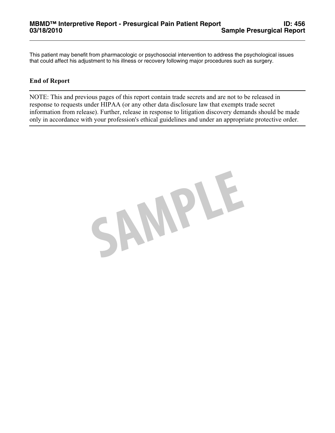This patient may benefit from pharmacologic or psychosocial intervention to address the psychological issues that could affect his adjustment to his illness or recovery following major procedures such as surgery.

## **End of Report**

NOTE: This and previous pages of this report contain trade secrets and are not to be released in response to requests under HIPAA (or any other data disclosure law that exempts trade secret information from release). Further, release in response to litigation discovery demands should be made only in accordance with your profession's ethical guidelines and under an appropriate protective order.